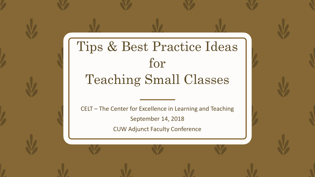### Tips & Best Practice Ideas for Teaching Small Classes

CELT – The Center for Excellence in Learning and Teaching September 14, 2018 CUW Adjunct Faculty Conference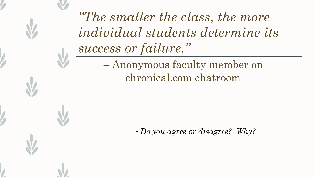*"The smaller the class, the more individual students determine its success or failure."*  – Anonymous faculty member on chronical.com chatroom

*~ Do you agree or disagree? Why?*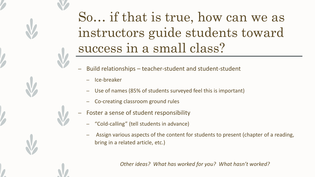#### So… if that is true, how can we as instructors guide students toward success in a small class?

- Build relationships teacher-student and student-student
	- Ice-breaker
	- Use of names (85% of students surveyed feel this is important)
	- Co-creating classroom ground rules
- Foster a sense of student responsibility
	- "Cold-calling" (tell students in advance)
	- Assign various aspects of the content for students to present (chapter of a reading, bring in a related article, etc.)

*Other ideas? What has worked for you? What hasn't worked?*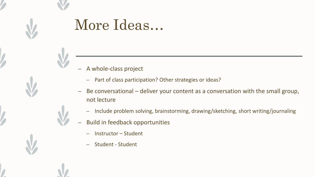### More Ideas…

- A whole-class project
	- Part of class participation? Other strategies or ideas?
- Be conversational deliver your content as a conversation with the small group, not lecture
	- Include problem solving, brainstorming, drawing/sketching, short writing/journaling
- Build in feedback opportunities
	- Instructor Student
	- Student Student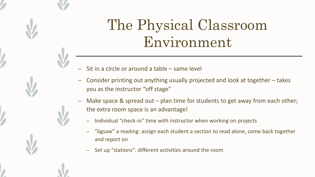## The Physical Classroom Environment

- Sit in a circle or around a table same level
- Consider printing out anything usually projected and look at together takes you as the instructor "off stage"
- Make space & spread out plan time for students to get away from each other; the extra room space is an advantage!
	- Individual "check-in" time with instructor when working on projects
	- "Jigsaw" a reading: assign each student a section to read alone, come back together and report on
	- Set up "stations": different activities around the room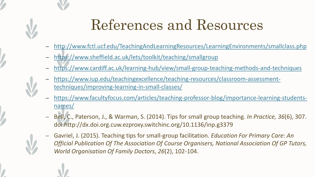# References and Resources

- <http://www.fctl.ucf.edu/TeachingAndLearningResources/LearningEnvironments/smallclass.php>
- <https://www.sheffield.ac.uk/lets/toolkit/teaching/smallgroup>
- <https://www.cardiff.ac.uk/learning-hub/view/small-group-teaching-methods-and-techniques>
- [https://www.iup.edu/teachingexcellence/teaching-resources/classroom-assessment](https://www.iup.edu/teachingexcellence/teaching-resources/classroom-assessment-techniques/improving-learning-in-small-classes/)techniques/improving-learning-in-small-classes/
- [https://www.facultyfocus.com/articles/teaching-professor-blog/importance-learning-students](https://www.facultyfocus.com/articles/teaching-professor-blog/importance-learning-students-names/)names/
- Bell, C., Paterson, J., & Warman, S. (2014). Tips for small group teaching. *In Practice, 36*(6), 307. doi:http://dx.doi.org.cuw.ezproxy.switchinc.org/10.1136/inp.g3379
- Gavriel, J. (2015). Teaching tips for small-group facilitation. *Education For Primary Care: An Official Publication Of The Association Of Course Organisers, National Association Of GP Tutors, World Organisation Of Family Doctors*, *26*(2), 102-104.